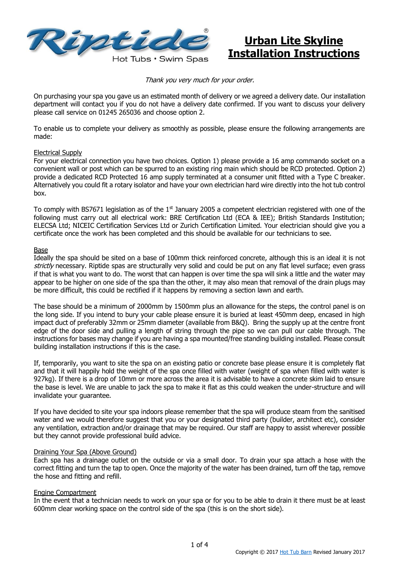

## **Urban Lite Skyline Installation Instructions**

Thank you very much for your order.

On purchasing your spa you gave us an estimated month of delivery or we agreed a delivery date. Our installation department will contact you if you do not have a delivery date confirmed. If you want to discuss your delivery please call service on 01245 265036 and choose option 2.

To enable us to complete your delivery as smoothly as possible, please ensure the following arrangements are made:

#### Electrical Supply

For your electrical connection you have two choices. Option 1) please provide a 16 amp commando socket on a convenient wall or post which can be spurred to an existing ring main which should be RCD protected. Option 2) provide a dedicated RCD Protected 16 amp supply terminated at a consumer unit fitted with a Type C breaker. Alternatively you could fit a rotary isolator and have your own electrician hard wire directly into the hot tub control box.

To comply with BS7671 legislation as of the  $1<sup>st</sup>$  January 2005 a competent electrician registered with one of the following must carry out all electrical work: BRE Certification Ltd (ECA & IEE); British Standards Institution; ELECSA Ltd; NICEIC Certification Services Ltd or Zurich Certification Limited. Your electrician should give you a certificate once the work has been completed and this should be available for our technicians to see.

#### Base

Ideally the spa should be sited on a base of 100mm thick reinforced concrete, although this is an ideal it is not strictly necessary. Riptide spas are structurally very solid and could be put on any flat level surface; even grass if that is what you want to do. The worst that can happen is over time the spa will sink a little and the water may appear to be higher on one side of the spa than the other, it may also mean that removal of the drain plugs may be more difficult, this could be rectified if it happens by removing a section lawn and earth.

The base should be a minimum of 2000mm by 1500mm plus an allowance for the steps, the control panel is on the long side. If you intend to bury your cable please ensure it is buried at least 450mm deep, encased in high impact duct of preferably 32mm or 25mm diameter (available from B&Q). Bring the supply up at the centre front edge of the door side and pulling a length of string through the pipe so we can pull our cable through. The instructions for bases may change if you are having a spa mounted/free standing building installed. Please consult building installation instructions if this is the case.

If, temporarily, you want to site the spa on an existing patio or concrete base please ensure it is completely flat and that it will happily hold the weight of the spa once filled with water (weight of spa when filled with water is 927kg). If there is a drop of 10mm or more across the area it is advisable to have a concrete skim laid to ensure the base is level. We are unable to jack the spa to make it flat as this could weaken the under-structure and will invalidate your guarantee.

If you have decided to site your spa indoors please remember that the spa will produce steam from the sanitised water and we would therefore suggest that you or your designated third party (builder, architect etc), consider any ventilation, extraction and/or drainage that may be required. Our staff are happy to assist wherever possible but they cannot provide professional build advice.

#### Draining Your Spa (Above Ground)

Each spa has a drainage outlet on the outside or via a small door. To drain your spa attach a hose with the correct fitting and turn the tap to open. Once the majority of the water has been drained, turn off the tap, remove the hose and fitting and refill.

#### Engine Compartment

In the event that a technician needs to work on your spa or for you to be able to drain it there must be at least 600mm clear working space on the control side of the spa (this is on the short side).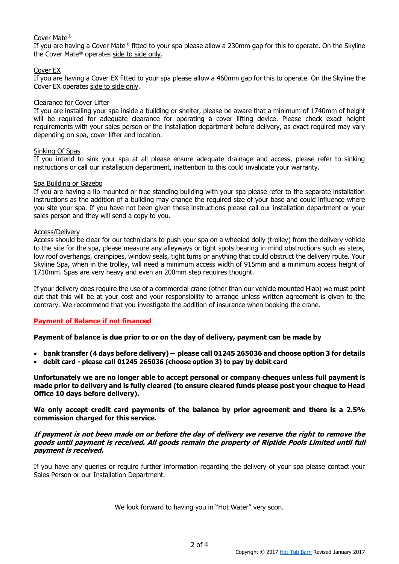#### Cover Mate®

If you are having a Cover Mate® fitted to your spa please allow a 230mm gap for this to operate. On the Skyline the Cover Mate® operates side to side only.

#### Cover EX

If you are having a Cover EX fitted to your spa please allow a 460mm gap for this to operate. On the Skyline the Cover EX operates side to side only.

#### Clearance for Cover Lifter

If you are installing your spa inside a building or shelter, please be aware that a minimum of 1740mm of height will be required for adequate clearance for operating a cover lifting device. Please check exact height requirements with your sales person or the installation department before delivery, as exact required may vary depending on spa, cover lifter and location.

#### Sinking Of Spas

If you intend to sink your spa at all please ensure adequate drainage and access, please refer to sinking instructions or call our installation department, inattention to this could invalidate your warranty.

#### Spa Building or Gazebo

If you are having a lip mounted or free standing building with your spa please refer to the separate installation instructions as the addition of a building may change the required size of your base and could influence where you site your spa. If you have not been given these instructions please call our installation department or your sales person and they will send a copy to you.

#### Access/Delivery

Access should be clear for our technicians to push your spa on a wheeled dolly (trolley) from the delivery vehicle to the site for the spa, please measure any alleyways or tight spots bearing in mind obstructions such as steps, low roof overhangs, drainpipes, window seals, tight turns or anything that could obstruct the delivery route. Your Skyline Spa, when in the trolley, will need a minimum access width of 915mm and a minimum access height of 1710mm. Spas are very heavy and even an 200mm step requires thought.

If your delivery does require the use of a commercial crane (other than our vehicle mounted Hiab) we must point out that this will be at your cost and your responsibility to arrange unless written agreement is given to the contrary. We recommend that you investigate the addition of insurance when booking the crane.

#### **Payment of Balance if not financed**

**Payment of balance is due prior to or on the day of delivery, payment can be made by** 

- **bank transfer (4 days before delivery) – please call 01245 265036 and choose option 3 for details**
- **debit card - please call 01245 265036 (choose option 3) to pay by debit card**

**Unfortunately we are no longer able to accept personal or company cheques unless full payment is made prior to delivery and is fully cleared (to ensure cleared funds please post your cheque to Head Office 10 days before delivery).** 

**We only accept credit card payments of the balance by prior agreement and there is a 2.5% commission charged for this service.** 

#### **If payment is not been made on or before the day of delivery we reserve the right to remove the goods until payment is received. All goods remain the property of Riptide Pools Limited until full payment is received.**

If you have any queries or require further information regarding the delivery of your spa please contact your Sales Person or our Installation Department.

We look forward to having you in "Hot Water" very soon.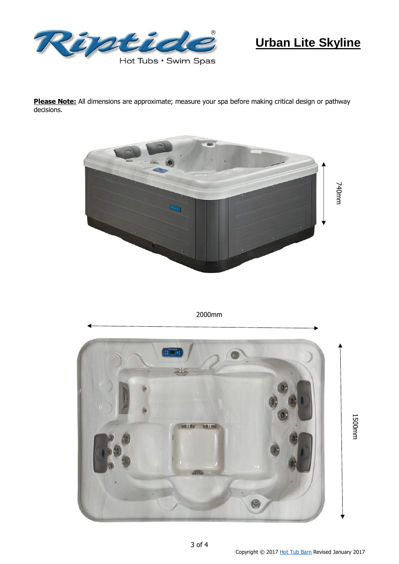

# **Urban Lite Skyline**

**Please Note:** All dimensions are approximate; measure your spa before making critical design or pathway decisions.



2000mm